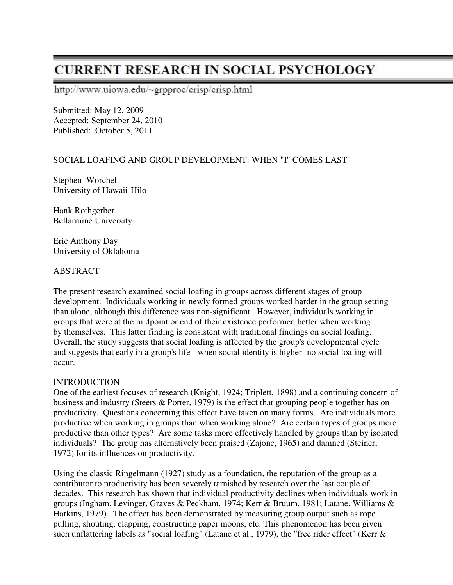# **CURRENT RESEARCH IN SOCIAL PSYCHOLOGY**

http://www.uiowa.edu/~grpproc/crisp/crisp.html

Submitted: May 12, 2009 Accepted: September 24, 2010 Published: October 5, 2011

## SOCIAL LOAFING AND GROUP DEVELOPMENT: WHEN "I" COMES LAST

Stephen Worchel University of Hawaii-Hilo

Hank Rothgerber Bellarmine University

Eric Anthony Day University of Oklahoma

## ABSTRACT

The present research examined social loafing in groups across different stages of group development. Individuals working in newly formed groups worked harder in the group setting than alone, although this difference was non-significant. However, individuals working in groups that were at the midpoint or end of their existence performed better when working by themselves. This latter finding is consistent with traditional findings on social loafing. Overall, the study suggests that social loafing is affected by the group's developmental cycle and suggests that early in a group's life - when social identity is higher- no social loafing will occur.

## **INTRODUCTION**

One of the earliest focuses of research (Knight, 1924; Triplett, 1898) and a continuing concern of business and industry (Steers & Porter, 1979) is the effect that grouping people together has on productivity. Questions concerning this effect have taken on many forms. Are individuals more productive when working in groups than when working alone? Are certain types of groups more productive than other types? Are some tasks more effectively handled by groups than by isolated individuals? The group has alternatively been praised (Zajonc, 1965) and damned (Steiner, 1972) for its influences on productivity.

Using the classic Ringelmann (1927) study as a foundation, the reputation of the group as a contributor to productivity has been severely tarnished by research over the last couple of decades. This research has shown that individual productivity declines when individuals work in groups (Ingham, Levinger, Graves & Peckham, 1974; Kerr & Bruum, 1981; Latane, Williams & Harkins, 1979). The effect has been demonstrated by measuring group output such as rope pulling, shouting, clapping, constructing paper moons, etc. This phenomenon has been given such unflattering labels as "social loafing" (Latane et al., 1979), the "free rider effect" (Kerr &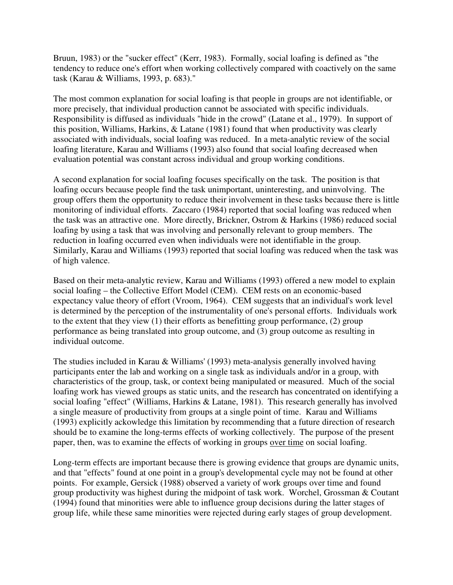Bruun, 1983) or the "sucker effect" (Kerr, 1983). Formally, social loafing is defined as "the tendency to reduce one's effort when working collectively compared with coactively on the same task (Karau & Williams, 1993, p. 683)."

The most common explanation for social loafing is that people in groups are not identifiable, or more precisely, that individual production cannot be associated with specific individuals. Responsibility is diffused as individuals "hide in the crowd" (Latane et al., 1979). In support of this position, Williams, Harkins, & Latane (1981) found that when productivity was clearly associated with individuals, social loafing was reduced. In a meta-analytic review of the social loafing literature, Karau and Williams (1993) also found that social loafing decreased when evaluation potential was constant across individual and group working conditions.

A second explanation for social loafing focuses specifically on the task. The position is that loafing occurs because people find the task unimportant, uninteresting, and uninvolving. The group offers them the opportunity to reduce their involvement in these tasks because there is little monitoring of individual efforts. Zaccaro (1984) reported that social loafing was reduced when the task was an attractive one. More directly, Brickner, Ostrom & Harkins (1986) reduced social loafing by using a task that was involving and personally relevant to group members. The reduction in loafing occurred even when individuals were not identifiable in the group. Similarly, Karau and Williams (1993) reported that social loafing was reduced when the task was of high valence.

Based on their meta-analytic review, Karau and Williams (1993) offered a new model to explain social loafing – the Collective Effort Model (CEM). CEM rests on an economic-based expectancy value theory of effort (Vroom, 1964). CEM suggests that an individual's work level is determined by the perception of the instrumentality of one's personal efforts. Individuals work to the extent that they view (1) their efforts as benefitting group performance, (2) group performance as being translated into group outcome, and (3) group outcome as resulting in individual outcome.

The studies included in Karau & Williams' (1993) meta-analysis generally involved having participants enter the lab and working on a single task as individuals and/or in a group, with characteristics of the group, task, or context being manipulated or measured. Much of the social loafing work has viewed groups as static units, and the research has concentrated on identifying a social loafing "effect" (Williams, Harkins & Latane, 1981). This research generally has involved a single measure of productivity from groups at a single point of time. Karau and Williams (1993) explicitly ackowledge this limitation by recommending that a future direction of research should be to examine the long-terms effects of working collectively. The purpose of the present paper, then, was to examine the effects of working in groups over time on social loafing.

Long-term effects are important because there is growing evidence that groups are dynamic units, and that "effects" found at one point in a group's developmental cycle may not be found at other points. For example, Gersick (1988) observed a variety of work groups over time and found group productivity was highest during the midpoint of task work. Worchel, Grossman & Coutant (1994) found that minorities were able to influence group decisions during the latter stages of group life, while these same minorities were rejected during early stages of group development.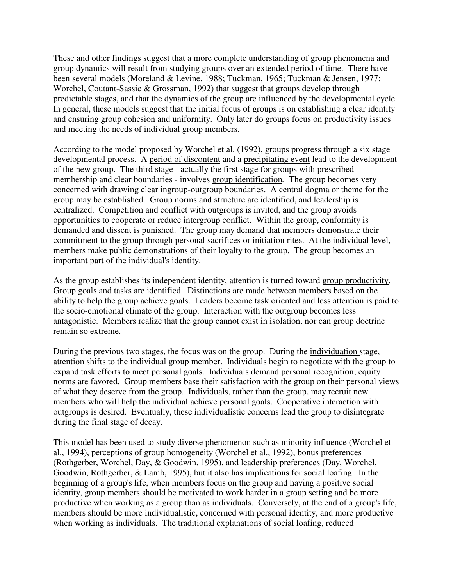These and other findings suggest that a more complete understanding of group phenomena and group dynamics will result from studying groups over an extended period of time. There have been several models (Moreland & Levine, 1988; Tuckman, 1965; Tuckman & Jensen, 1977; Worchel, Coutant-Sassic & Grossman, 1992) that suggest that groups develop through predictable stages, and that the dynamics of the group are influenced by the developmental cycle. In general, these models suggest that the initial focus of groups is on establishing a clear identity and ensuring group cohesion and uniformity. Only later do groups focus on productivity issues and meeting the needs of individual group members.

According to the model proposed by Worchel et al. (1992), groups progress through a six stage developmental process. A period of discontent and a precipitating event lead to the development of the new group. The third stage - actually the first stage for groups with prescribed membership and clear boundaries - involves group identification*.* The group becomes very concerned with drawing clear ingroup-outgroup boundaries. A central dogma or theme for the group may be established. Group norms and structure are identified, and leadership is centralized. Competition and conflict with outgroups is invited, and the group avoids opportunities to cooperate or reduce intergroup conflict. Within the group, conformity is demanded and dissent is punished. The group may demand that members demonstrate their commitment to the group through personal sacrifices or initiation rites. At the individual level, members make public demonstrations of their loyalty to the group. The group becomes an important part of the individual's identity.

As the group establishes its independent identity, attention is turned toward group productivity. Group goals and tasks are identified. Distinctions are made between members based on the ability to help the group achieve goals. Leaders become task oriented and less attention is paid to the socio-emotional climate of the group. Interaction with the outgroup becomes less antagonistic. Members realize that the group cannot exist in isolation, nor can group doctrine remain so extreme.

During the previous two stages, the focus was on the group. During the individuation stage, attention shifts to the individual group member. Individuals begin to negotiate with the group to expand task efforts to meet personal goals. Individuals demand personal recognition; equity norms are favored. Group members base their satisfaction with the group on their personal views of what they deserve from the group. Individuals, rather than the group, may recruit new members who will help the individual achieve personal goals. Cooperative interaction with outgroups is desired. Eventually, these individualistic concerns lead the group to disintegrate during the final stage of decay.

This model has been used to study diverse phenomenon such as minority influence (Worchel et al., 1994), perceptions of group homogeneity (Worchel et al., 1992), bonus preferences (Rothgerber, Worchel, Day, & Goodwin, 1995), and leadership preferences (Day, Worchel, Goodwin, Rothgerber, & Lamb, 1995), but it also has implications for social loafing. In the beginning of a group's life, when members focus on the group and having a positive social identity, group members should be motivated to work harder in a group setting and be more productive when working as a group than as individuals. Conversely, at the end of a group's life, members should be more individualistic, concerned with personal identity, and more productive when working as individuals. The traditional explanations of social loafing, reduced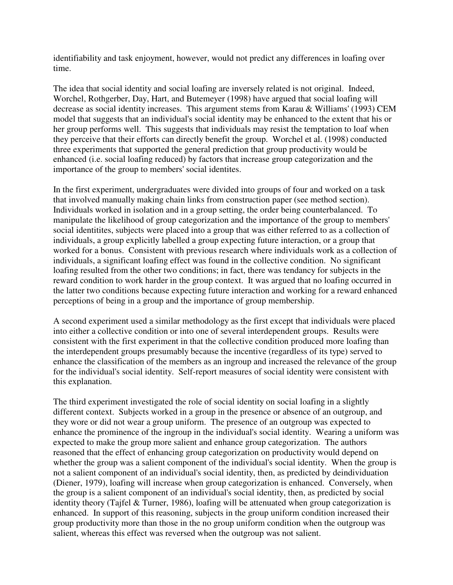identifiability and task enjoyment, however, would not predict any differences in loafing over time.

The idea that social identity and social loafing are inversely related is not original. Indeed, Worchel, Rothgerber, Day, Hart, and Butemeyer (1998) have argued that social loafing will decrease as social identity increases. This argument stems from Karau & Williams' (1993) CEM model that suggests that an individual's social identity may be enhanced to the extent that his or her group performs well. This suggests that individuals may resist the temptation to loaf when they perceive that their efforts can directly benefit the group. Worchel et al. (1998) conducted three experiments that supported the general prediction that group productivity would be enhanced (i.e. social loafing reduced) by factors that increase group categorization and the importance of the group to members' social identites.

In the first experiment, undergraduates were divided into groups of four and worked on a task that involved manually making chain links from construction paper (see method section). Individuals worked in isolation and in a group setting, the order being counterbalanced. To manipulate the likelihood of group categorization and the importance of the group to members' social identitites, subjects were placed into a group that was either referred to as a collection of individuals, a group explicitly labelled a group expecting future interaction, or a group that worked for a bonus. Consistent with previous research where individuals work as a collection of individuals, a significant loafing effect was found in the collective condition. No significant loafing resulted from the other two conditions; in fact, there was tendancy for subjects in the reward condition to work harder in the group context. It was argued that no loafing occurred in the latter two conditions because expecting future interaction and working for a reward enhanced perceptions of being in a group and the importance of group membership.

A second experiment used a similar methodology as the first except that individuals were placed into either a collective condition or into one of several interdependent groups. Results were consistent with the first experiment in that the collective condition produced more loafing than the interdependent groups presumably because the incentive (regardless of its type) served to enhance the classification of the members as an ingroup and increased the relevance of the group for the individual's social identity. Self-report measures of social identity were consistent with this explanation.

The third experiment investigated the role of social identity on social loafing in a slightly different context. Subjects worked in a group in the presence or absence of an outgroup, and they wore or did not wear a group uniform. The presence of an outgroup was expected to enhance the prominence of the ingroup in the individual's social identity. Wearing a uniform was expected to make the group more salient and enhance group categorization. The authors reasoned that the effect of enhancing group categorization on productivity would depend on whether the group was a salient component of the individual's social identity. When the group is not a salient component of an individual's social identity, then, as predicted by deindividuation (Diener, 1979), loafing will increase when group categorization is enhanced. Conversely, when the group is a salient component of an individual's social identity, then, as predicted by social identity theory (Tajfel & Turner, 1986), loafing will be attenuated when group categorization is enhanced. In support of this reasoning, subjects in the group uniform condition increased their group productivity more than those in the no group uniform condition when the outgroup was salient, whereas this effect was reversed when the outgroup was not salient.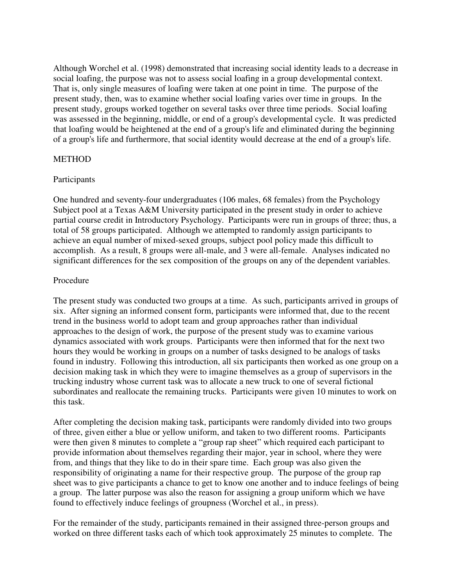Although Worchel et al. (1998) demonstrated that increasing social identity leads to a decrease in social loafing, the purpose was not to assess social loafing in a group developmental context. That is, only single measures of loafing were taken at one point in time. The purpose of the present study, then, was to examine whether social loafing varies over time in groups. In the present study, groups worked together on several tasks over three time periods. Social loafing was assessed in the beginning, middle, or end of a group's developmental cycle. It was predicted that loafing would be heightened at the end of a group's life and eliminated during the beginning of a group's life and furthermore, that social identity would decrease at the end of a group's life.

#### METHOD

#### Participants

One hundred and seventy-four undergraduates (106 males, 68 females) from the Psychology Subject pool at a Texas A&M University participated in the present study in order to achieve partial course credit in Introductory Psychology. Participants were run in groups of three; thus, a total of 58 groups participated. Although we attempted to randomly assign participants to achieve an equal number of mixed-sexed groups, subject pool policy made this difficult to accomplish. As a result, 8 groups were all-male, and 3 were all-female. Analyses indicated no significant differences for the sex composition of the groups on any of the dependent variables.

#### Procedure

The present study was conducted two groups at a time. As such, participants arrived in groups of six. After signing an informed consent form, participants were informed that, due to the recent trend in the business world to adopt team and group approaches rather than individual approaches to the design of work, the purpose of the present study was to examine various dynamics associated with work groups. Participants were then informed that for the next two hours they would be working in groups on a number of tasks designed to be analogs of tasks found in industry. Following this introduction, all six participants then worked as one group on a decision making task in which they were to imagine themselves as a group of supervisors in the trucking industry whose current task was to allocate a new truck to one of several fictional subordinates and reallocate the remaining trucks. Participants were given 10 minutes to work on this task.

After completing the decision making task, participants were randomly divided into two groups of three, given either a blue or yellow uniform, and taken to two different rooms. Participants were then given 8 minutes to complete a "group rap sheet" which required each participant to provide information about themselves regarding their major, year in school, where they were from, and things that they like to do in their spare time. Each group was also given the responsibility of originating a name for their respective group. The purpose of the group rap sheet was to give participants a chance to get to know one another and to induce feelings of being a group. The latter purpose was also the reason for assigning a group uniform which we have found to effectively induce feelings of groupness (Worchel et al., in press).

For the remainder of the study, participants remained in their assigned three-person groups and worked on three different tasks each of which took approximately 25 minutes to complete. The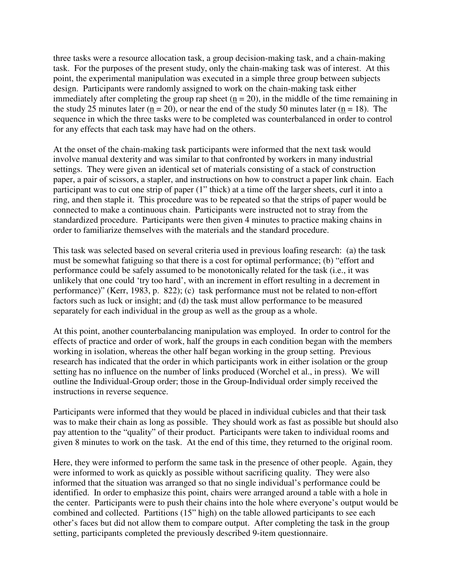three tasks were a resource allocation task, a group decision-making task, and a chain-making task. For the purposes of the present study, only the chain-making task was of interest. At this point, the experimental manipulation was executed in a simple three group between subjects design. Participants were randomly assigned to work on the chain-making task either immediately after completing the group rap sheet  $(n = 20)$ , in the middle of the time remaining in the study 25 minutes later ( $n = 20$ ), or near the end of the study 50 minutes later ( $n = 18$ ). The sequence in which the three tasks were to be completed was counterbalanced in order to control for any effects that each task may have had on the others.

At the onset of the chain-making task participants were informed that the next task would involve manual dexterity and was similar to that confronted by workers in many industrial settings. They were given an identical set of materials consisting of a stack of construction paper, a pair of scissors, a stapler, and instructions on how to construct a paper link chain. Each participant was to cut one strip of paper (1" thick) at a time off the larger sheets, curl it into a ring, and then staple it. This procedure was to be repeated so that the strips of paper would be connected to make a continuous chain. Participants were instructed not to stray from the standardized procedure. Participants were then given 4 minutes to practice making chains in order to familiarize themselves with the materials and the standard procedure.

This task was selected based on several criteria used in previous loafing research: (a) the task must be somewhat fatiguing so that there is a cost for optimal performance; (b) "effort and performance could be safely assumed to be monotonically related for the task (i.e., it was unlikely that one could 'try too hard', with an increment in effort resulting in a decrement in performance)" (Kerr, 1983, p. 822); (c) task performance must not be related to non-effort factors such as luck or insight; and (d) the task must allow performance to be measured separately for each individual in the group as well as the group as a whole.

At this point, another counterbalancing manipulation was employed. In order to control for the effects of practice and order of work, half the groups in each condition began with the members working in isolation, whereas the other half began working in the group setting. Previous research has indicated that the order in which participants work in either isolation or the group setting has no influence on the number of links produced (Worchel et al., in press). We will outline the Individual-Group order; those in the Group-Individual order simply received the instructions in reverse sequence.

Participants were informed that they would be placed in individual cubicles and that their task was to make their chain as long as possible. They should work as fast as possible but should also pay attention to the "quality" of their product. Participants were taken to individual rooms and given 8 minutes to work on the task. At the end of this time, they returned to the original room.

Here, they were informed to perform the same task in the presence of other people. Again, they were informed to work as quickly as possible without sacrificing quality. They were also informed that the situation was arranged so that no single individual's performance could be identified. In order to emphasize this point, chairs were arranged around a table with a hole in the center. Participants were to push their chains into the hole where everyone's output would be combined and collected. Partitions (15" high) on the table allowed participants to see each other's faces but did not allow them to compare output. After completing the task in the group setting, participants completed the previously described 9-item questionnaire.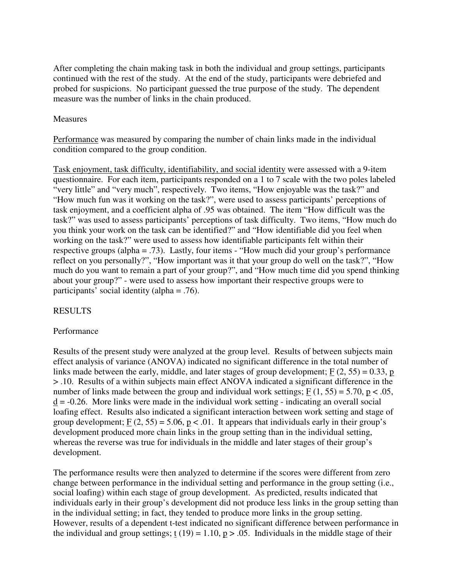After completing the chain making task in both the individual and group settings, participants continued with the rest of the study. At the end of the study, participants were debriefed and probed for suspicions. No participant guessed the true purpose of the study. The dependent measure was the number of links in the chain produced.

#### Measures

Performance was measured by comparing the number of chain links made in the individual condition compared to the group condition.

Task enjoyment, task difficulty, identifiability, and social identity were assessed with a 9-item questionnaire. For each item, participants responded on a 1 to 7 scale with the two poles labeled "very little" and "very much", respectively. Two items, "How enjoyable was the task?" and "How much fun was it working on the task?", were used to assess participants' perceptions of task enjoyment, and a coefficient alpha of .95 was obtained. The item "How difficult was the task?" was used to assess participants' perceptions of task difficulty. Two items, "How much do you think your work on the task can be identified?" and "How identifiable did you feel when working on the task?" were used to assess how identifiable participants felt within their respective groups (alpha = .73). Lastly, four items - "How much did your group's performance reflect on you personally?", "How important was it that your group do well on the task?", "How much do you want to remain a part of your group?", and "How much time did you spend thinking about your group?" - were used to assess how important their respective groups were to participants' social identity (alpha = .76).

## RESULTS

## Performance

Results of the present study were analyzed at the group level. Results of between subjects main effect analysis of variance (ANOVA) indicated no significant difference in the total number of links made between the early, middle, and later stages of group development;  $F(2, 55) = 0.33$ , p > .10. Results of a within subjects main effect ANOVA indicated a significant difference in the number of links made between the group and individual work settings;  $F(1, 55) = 5.70$ ,  $p < .05$ ,  $\underline{d}$  = -0.26. More links were made in the individual work setting - indicating an overall social loafing effect. Results also indicated a significant interaction between work setting and stage of group development;  $\underline{F}(2, 55) = 5.06$ ,  $\underline{p} < .01$ . It appears that individuals early in their group's development produced more chain links in the group setting than in the individual setting, whereas the reverse was true for individuals in the middle and later stages of their group's development.

The performance results were then analyzed to determine if the scores were different from zero change between performance in the individual setting and performance in the group setting (i.e., social loafing) within each stage of group development. As predicted, results indicated that individuals early in their group's development did not produce less links in the group setting than in the individual setting; in fact, they tended to produce more links in the group setting. However, results of a dependent t-test indicated no significant difference between performance in the individual and group settings;  $t(19) = 1.10$ ,  $p > .05$ . Individuals in the middle stage of their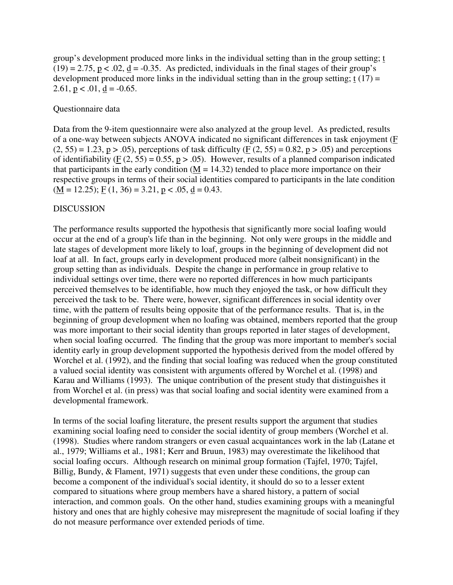group's development produced more links in the individual setting than in the group setting; t  $(19) = 2.75$ ,  $p < .02$ ,  $d = -0.35$ . As predicted, individuals in the final stages of their group's development produced more links in the individual setting than in the group setting;  $t(17) =$ 2.61,  $p < .01$ ,  $d = -0.65$ .

#### Questionnaire data

Data from the 9-item questionnaire were also analyzed at the group level. As predicted, results of a one-way between subjects ANOVA indicated no significant differences in task enjoyment (F  $(2, 55) = 1.23$ , p  $> 0.05$ ), perceptions of task difficulty (F  $(2, 55) = 0.82$ , p  $> 0.05$ ) and perceptions of identifiability (F  $(2, 55) = 0.55$ , p > .05). However, results of a planned comparison indicated that participants in the early condition ( $\underline{M} = 14.32$ ) tended to place more importance on their respective groups in terms of their social identities compared to participants in the late condition  $(M = 12.25)$ ; F  $(1, 36) = 3.21$ , p < .05, d = 0.43.

#### DISCUSSION

The performance results supported the hypothesis that significantly more social loafing would occur at the end of a group's life than in the beginning. Not only were groups in the middle and late stages of development more likely to loaf, groups in the beginning of development did not loaf at all. In fact, groups early in development produced more (albeit nonsignificant) in the group setting than as individuals. Despite the change in performance in group relative to individual settings over time, there were no reported differences in how much participants perceived themselves to be identifiable, how much they enjoyed the task, or how difficult they perceived the task to be. There were, however, significant differences in social identity over time, with the pattern of results being opposite that of the performance results. That is, in the beginning of group development when no loafing was obtained, members reported that the group was more important to their social identity than groups reported in later stages of development, when social loafing occurred. The finding that the group was more important to member's social identity early in group development supported the hypothesis derived from the model offered by Worchel et al. (1992), and the finding that social loafing was reduced when the group constituted a valued social identity was consistent with arguments offered by Worchel et al. (1998) and Karau and Williams (1993). The unique contribution of the present study that distinguishes it from Worchel et al. (in press) was that social loafing and social identity were examined from a developmental framework.

In terms of the social loafing literature, the present results support the argument that studies examining social loafing need to consider the social identity of group members (Worchel et al. (1998). Studies where random strangers or even casual acquaintances work in the lab (Latane et al., 1979; Williams et al., 1981; Kerr and Bruun, 1983) may overestimate the likelihood that social loafing occurs. Although research on minimal group formation (Tajfel, 1970; Tajfel, Billig, Bundy, & Flament, 1971) suggests that even under these conditions, the group can become a component of the individual's social identity, it should do so to a lesser extent compared to situations where group members have a shared history, a pattern of social interaction, and common goals. On the other hand, studies examining groups with a meaningful history and ones that are highly cohesive may misrepresent the magnitude of social loafing if they do not measure performance over extended periods of time.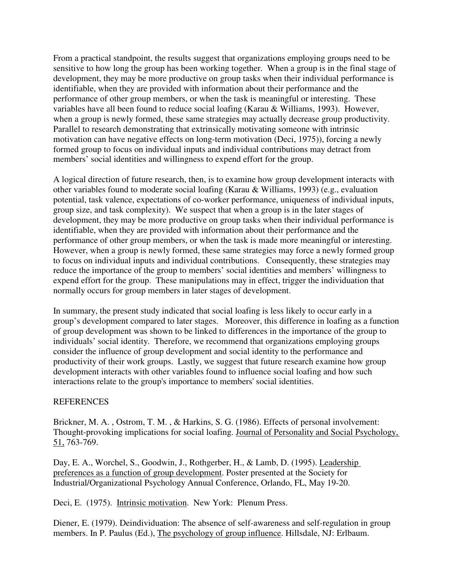From a practical standpoint, the results suggest that organizations employing groups need to be sensitive to how long the group has been working together. When a group is in the final stage of development, they may be more productive on group tasks when their individual performance is identifiable, when they are provided with information about their performance and the performance of other group members, or when the task is meaningful or interesting. These variables have all been found to reduce social loafing (Karau & Williams, 1993). However, when a group is newly formed, these same strategies may actually decrease group productivity. Parallel to research demonstrating that extrinsically motivating someone with intrinsic motivation can have negative effects on long-term motivation (Deci, 1975)), forcing a newly formed group to focus on individual inputs and individual contributions may detract from members' social identities and willingness to expend effort for the group.

A logical direction of future research, then, is to examine how group development interacts with other variables found to moderate social loafing (Karau & Williams, 1993) (e.g., evaluation potential, task valence, expectations of co-worker performance, uniqueness of individual inputs, group size, and task complexity). We suspect that when a group is in the later stages of development, they may be more productive on group tasks when their individual performance is identifiable, when they are provided with information about their performance and the performance of other group members, or when the task is made more meaningful or interesting. However, when a group is newly formed, these same strategies may force a newly formed group to focus on individual inputs and individual contributions. Consequently, these strategies may reduce the importance of the group to members' social identities and members' willingness to expend effort for the group. These manipulations may in effect, trigger the individuation that normally occurs for group members in later stages of development.

In summary, the present study indicated that social loafing is less likely to occur early in a group's development compared to later stages. Moreover, this difference in loafing as a function of group development was shown to be linked to differences in the importance of the group to individuals' social identity. Therefore, we recommend that organizations employing groups consider the influence of group development and social identity to the performance and productivity of their work groups. Lastly, we suggest that future research examine how group development interacts with other variables found to influence social loafing and how such interactions relate to the group's importance to members' social identities.

## **REFERENCES**

Brickner, M. A. , Ostrom, T. M. , & Harkins, S. G. (1986). Effects of personal involvement: Thought-provoking implications for social loafing. Journal of Personality and Social Psychology, 51, 763-769.

Day, E. A., Worchel, S., Goodwin, J., Rothgerber, H., & Lamb, D. (1995). Leadership preferences as a function of group development. Poster presented at the Society for Industrial/Organizational Psychology Annual Conference, Orlando, FL, May 19-20.

Deci, E. (1975). Intrinsic motivation. New York: Plenum Press.

Diener, E. (1979). Deindividuation: The absence of self-awareness and self-regulation in group members. In P. Paulus (Ed.), The psychology of group influence. Hillsdale, NJ: Erlbaum.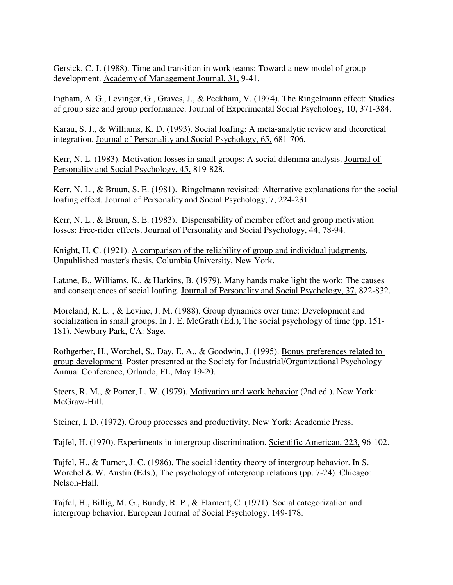Gersick, C. J. (1988). Time and transition in work teams: Toward a new model of group development. Academy of Management Journal, 31, 9-41.

Ingham, A. G., Levinger, G., Graves, J., & Peckham, V. (1974). The Ringelmann effect: Studies of group size and group performance. Journal of Experimental Social Psychology, 10, 371-384.

Karau, S. J., & Williams, K. D. (1993). Social loafing: A meta-analytic review and theoretical integration. Journal of Personality and Social Psychology, 65, 681-706.

Kerr, N. L. (1983). Motivation losses in small groups: A social dilemma analysis. Journal of Personality and Social Psychology, 45, 819-828.

Kerr, N. L., & Bruun, S. E. (1981). Ringelmann revisited: Alternative explanations for the social loafing effect. Journal of Personality and Social Psychology, 7, 224-231.

Kerr, N. L., & Bruun, S. E. (1983). Dispensability of member effort and group motivation losses: Free-rider effects. Journal of Personality and Social Psychology, 44, 78-94.

Knight, H. C. (1921). A comparison of the reliability of group and individual judgments. Unpublished master's thesis, Columbia University, New York.

Latane, B., Williams, K., & Harkins, B. (1979). Many hands make light the work: The causes and consequences of social loafing. Journal of Personality and Social Psychology, 37, 822-832.

Moreland, R. L. , & Levine, J. M. (1988). Group dynamics over time: Development and socialization in small groups. In J. E. McGrath (Ed.), The social psychology of time (pp. 151- 181). Newbury Park, CA: Sage.

Rothgerber, H., Worchel, S., Day, E. A., & Goodwin, J. (1995). Bonus preferences related to group development. Poster presented at the Society for Industrial/Organizational Psychology Annual Conference, Orlando, FL, May 19-20.

Steers, R. M., & Porter, L. W. (1979). Motivation and work behavior (2nd ed.). New York: McGraw-Hill.

Steiner, I. D. (1972). Group processes and productivity. New York: Academic Press.

Tajfel, H. (1970). Experiments in intergroup discrimination. Scientific American, 223, 96-102.

Tajfel, H., & Turner, J. C. (1986). The social identity theory of intergroup behavior. In S. Worchel & W. Austin (Eds.), The psychology of intergroup relations (pp. 7-24). Chicago: Nelson-Hall.

Tajfel, H., Billig, M. G., Bundy, R. P., & Flament, C. (1971). Social categorization and intergroup behavior. European Journal of Social Psychology, 149-178.